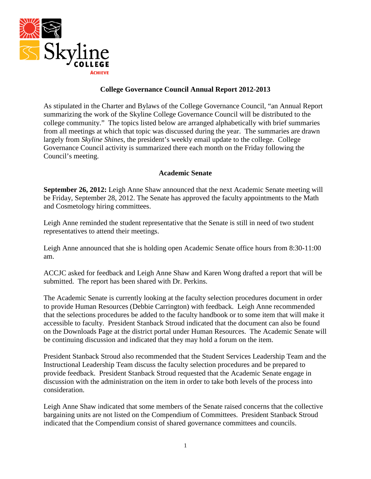

### **College Governance Council Annual Report 2012-2013**

As stipulated in the Charter and Bylaws of the College Governance Council, "an Annual Report summarizing the work of the Skyline College Governance Council will be distributed to the college community." The topics listed below are arranged alphabetically with brief summaries from all meetings at which that topic was discussed during the year. The summaries are drawn largely from *Skyline Shines*, the president's weekly email update to the college. College Governance Council activity is summarized there each month on the Friday following the Council's meeting.

### **Academic Senate**

**September 26, 2012:** Leigh Anne Shaw announced that the next Academic Senate meeting will be Friday, September 28, 2012. The Senate has approved the faculty appointments to the Math and Cosmetology hiring committees.

Leigh Anne reminded the student representative that the Senate is still in need of two student representatives to attend their meetings.

Leigh Anne announced that she is holding open Academic Senate office hours from 8:30-11:00 am.

ACCJC asked for feedback and Leigh Anne Shaw and Karen Wong drafted a report that will be submitted. The report has been shared with Dr. Perkins.

The Academic Senate is currently looking at the faculty selection procedures document in order to provide Human Resources (Debbie Carrington) with feedback. Leigh Anne recommended that the selections procedures be added to the faculty handbook or to some item that will make it accessible to faculty. President Stanback Stroud indicated that the document can also be found on the Downloads Page at the district portal under Human Resources. The Academic Senate will be continuing discussion and indicated that they may hold a forum on the item.

President Stanback Stroud also recommended that the Student Services Leadership Team and the Instructional Leadership Team discuss the faculty selection procedures and be prepared to provide feedback. President Stanback Stroud requested that the Academic Senate engage in discussion with the administration on the item in order to take both levels of the process into consideration.

Leigh Anne Shaw indicated that some members of the Senate raised concerns that the collective bargaining units are not listed on the Compendium of Committees. President Stanback Stroud indicated that the Compendium consist of shared governance committees and councils.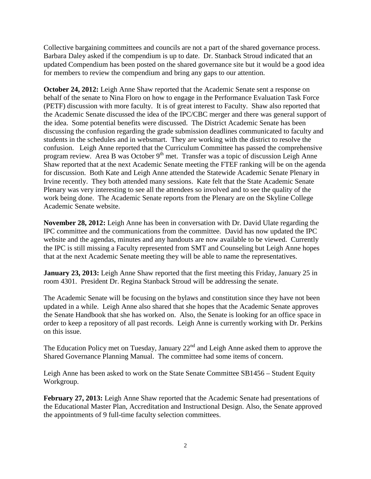Collective bargaining committees and councils are not a part of the shared governance process. Barbara Daley asked if the compendium is up to date. Dr. Stanback Stroud indicated that an updated Compendium has been posted on the shared governance site but it would be a good idea for members to review the compendium and bring any gaps to our attention.

**October 24, 2012:** Leigh Anne Shaw reported that the Academic Senate sent a response on behalf of the senate to Nina Floro on how to engage in the Performance Evaluation Task Force (PETF) discussion with more faculty. It is of great interest to Faculty. Shaw also reported that the Academic Senate discussed the idea of the IPC/CBC merger and there was general support of the idea. Some potential benefits were discussed. The District Academic Senate has been discussing the confusion regarding the grade submission deadlines communicated to faculty and students in the schedules and in websmart. They are working with the district to resolve the confusion. Leigh Anne reported that the Curriculum Committee has passed the comprehensive program review. Area B was October  $9<sup>th</sup>$  met. Transfer was a topic of discussion Leigh Anne Shaw reported that at the next Academic Senate meeting the FTEF ranking will be on the agenda for discussion. Both Kate and Leigh Anne attended the Statewide Academic Senate Plenary in Irvine recently. They both attended many sessions. Kate felt that the State Academic Senate Plenary was very interesting to see all the attendees so involved and to see the quality of the work being done. The Academic Senate reports from the Plenary are on the Skyline College Academic Senate website.

**November 28, 2012:** Leigh Anne has been in conversation with Dr. David Ulate regarding the IPC committee and the communications from the committee. David has now updated the IPC website and the agendas, minutes and any handouts are now available to be viewed. Currently the IPC is still missing a Faculty represented from SMT and Counseling but Leigh Anne hopes that at the next Academic Senate meeting they will be able to name the representatives.

**January 23, 2013:** Leigh Anne Shaw reported that the first meeting this Friday, January 25 in room 4301. President Dr. Regina Stanback Stroud will be addressing the senate.

The Academic Senate will be focusing on the bylaws and constitution since they have not been updated in a while. Leigh Anne also shared that she hopes that the Academic Senate approves the Senate Handbook that she has worked on. Also, the Senate is looking for an office space in order to keep a repository of all past records. Leigh Anne is currently working with Dr. Perkins on this issue.

The Education Policy met on Tuesday, January  $22<sup>nd</sup>$  and Leigh Anne asked them to approve the Shared Governance Planning Manual. The committee had some items of concern.

Leigh Anne has been asked to work on the State Senate Committee SB1456 – Student Equity Workgroup.

**February 27, 2013:** Leigh Anne Shaw reported that the Academic Senate had presentations of the Educational Master Plan, Accreditation and Instructional Design. Also, the Senate approved the appointments of 9 full-time faculty selection committees.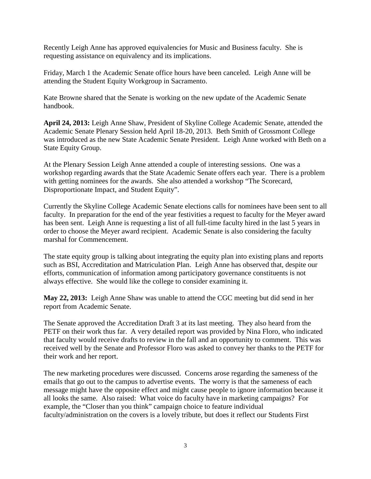Recently Leigh Anne has approved equivalencies for Music and Business faculty. She is requesting assistance on equivalency and its implications.

Friday, March 1 the Academic Senate office hours have been canceled. Leigh Anne will be attending the Student Equity Workgroup in Sacramento.

Kate Browne shared that the Senate is working on the new update of the Academic Senate handbook.

**April 24, 2013:** Leigh Anne Shaw, President of Skyline College Academic Senate, attended the Academic Senate Plenary Session held April 18-20, 2013. Beth Smith of Grossmont College was introduced as the new State Academic Senate President. Leigh Anne worked with Beth on a State Equity Group.

At the Plenary Session Leigh Anne attended a couple of interesting sessions. One was a workshop regarding awards that the State Academic Senate offers each year. There is a problem with getting nominees for the awards. She also attended a workshop "The Scorecard, Disproportionate Impact, and Student Equity".

Currently the Skyline College Academic Senate elections calls for nominees have been sent to all faculty. In preparation for the end of the year festivities a request to faculty for the Meyer award has been sent. Leigh Anne is requesting a list of all full-time faculty hired in the last 5 years in order to choose the Meyer award recipient. Academic Senate is also considering the faculty marshal for Commencement.

The state equity group is talking about integrating the equity plan into existing plans and reports such as BSI, Accreditation and Matriculation Plan. Leigh Anne has observed that, despite our efforts, communication of information among participatory governance constituents is not always effective. She would like the college to consider examining it.

**May 22, 2013:** Leigh Anne Shaw was unable to attend the CGC meeting but did send in her report from Academic Senate.

The Senate approved the Accreditation Draft 3 at its last meeting. They also heard from the PETF on their work thus far. A very detailed report was provided by Nina Floro, who indicated that faculty would receive drafts to review in the fall and an opportunity to comment. This was received well by the Senate and Professor Floro was asked to convey her thanks to the PETF for their work and her report.

The new marketing procedures were discussed. Concerns arose regarding the sameness of the emails that go out to the campus to advertise events. The worry is that the sameness of each message might have the opposite effect and might cause people to ignore information because it all looks the same. Also raised: What voice do faculty have in marketing campaigns? For example, the "Closer than you think" campaign choice to feature individual faculty/administration on the covers is a lovely tribute, but does it reflect our Students First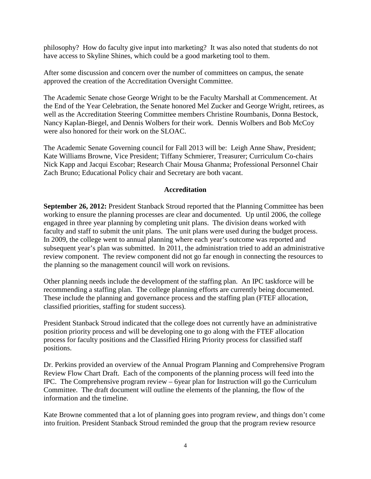philosophy? How do faculty give input into marketing? It was also noted that students do not have access to Skyline Shines, which could be a good marketing tool to them.

After some discussion and concern over the number of committees on campus, the senate approved the creation of the Accreditation Oversight Committee.

The Academic Senate chose George Wright to be the Faculty Marshall at Commencement. At the End of the Year Celebration, the Senate honored Mel Zucker and George Wright, retirees, as well as the Accreditation Steering Committee members Christine Roumbanis, Donna Bestock, Nancy Kaplan-Biegel, and Dennis Wolbers for their work. Dennis Wolbers and Bob McCoy were also honored for their work on the SLOAC.

The Academic Senate Governing council for Fall 2013 will be: Leigh Anne Shaw, President; Kate Williams Browne, Vice President; Tiffany Schmierer, Treasurer; Curriculum Co-chairs Nick Kapp and Jacqui Escobar; Research Chair Mousa Ghanma; Professional Personnel Chair Zach Bruno; Educational Policy chair and Secretary are both vacant.

### **Accreditation**

**September 26, 2012:** President Stanback Stroud reported that the Planning Committee has been working to ensure the planning processes are clear and documented. Up until 2006, the college engaged in three year planning by completing unit plans. The division deans worked with faculty and staff to submit the unit plans. The unit plans were used during the budget process. In 2009, the college went to annual planning where each year's outcome was reported and subsequent year's plan was submitted. In 2011, the administration tried to add an administrative review component. The review component did not go far enough in connecting the resources to the planning so the management council will work on revisions.

Other planning needs include the development of the staffing plan. An IPC taskforce will be recommending a staffing plan. The college planning efforts are currently being documented. These include the planning and governance process and the staffing plan (FTEF allocation, classified priorities, staffing for student success).

President Stanback Stroud indicated that the college does not currently have an administrative position priority process and will be developing one to go along with the FTEF allocation process for faculty positions and the Classified Hiring Priority process for classified staff positions.

Dr. Perkins provided an overview of the Annual Program Planning and Comprehensive Program Review Flow Chart Draft. Each of the components of the planning process will feed into the IPC. The Comprehensive program review – 6year plan for Instruction will go the Curriculum Committee. The draft document will outline the elements of the planning, the flow of the information and the timeline.

Kate Browne commented that a lot of planning goes into program review, and things don't come into fruition. President Stanback Stroud reminded the group that the program review resource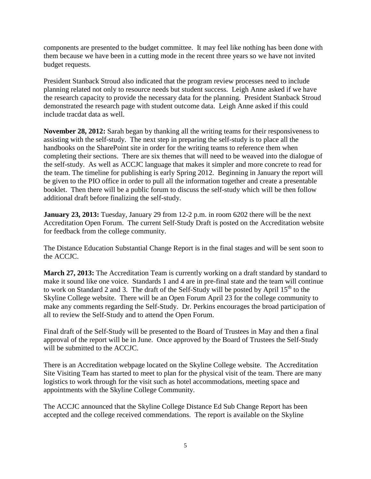components are presented to the budget committee. It may feel like nothing has been done with them because we have been in a cutting mode in the recent three years so we have not invited budget requests.

President Stanback Stroud also indicated that the program review processes need to include planning related not only to resource needs but student success. Leigh Anne asked if we have the research capacity to provide the necessary data for the planning. President Stanback Stroud demonstrated the research page with student outcome data. Leigh Anne asked if this could include tracdat data as well.

**November 28, 2012:** Sarah began by thanking all the writing teams for their responsiveness to assisting with the self-study. The next step in preparing the self-study is to place all the handbooks on the SharePoint site in order for the writing teams to reference them when completing their sections. There are six themes that will need to be weaved into the dialogue of the self-study. As well as ACCJC language that makes it simpler and more concrete to read for the team. The timeline for publishing is early Spring 2012. Beginning in January the report will be given to the PIO office in order to pull all the information together and create a presentable booklet. Then there will be a public forum to discuss the self-study which will be then follow additional draft before finalizing the self-study.

**January 23, 2013:** Tuesday, January 29 from 12-2 p.m. in room 6202 there will be the next Accreditation Open Forum. The current Self-Study Draft is posted on the Accreditation website for feedback from the college community.

The Distance Education Substantial Change Report is in the final stages and will be sent soon to the ACCJC.

**March 27, 2013:** The Accreditation Team is currently working on a draft standard by standard to make it sound like one voice. Standards 1 and 4 are in pre-final state and the team will continue to work on Standard 2 and 3. The draft of the Self-Study will be posted by April  $15<sup>th</sup>$  to the Skyline College website. There will be an Open Forum April 23 for the college community to make any comments regarding the Self-Study. Dr. Perkins encourages the broad participation of all to review the Self-Study and to attend the Open Forum.

Final draft of the Self-Study will be presented to the Board of Trustees in May and then a final approval of the report will be in June. Once approved by the Board of Trustees the Self-Study will be submitted to the ACCJC.

There is an Accreditation webpage located on the Skyline College website. The Accreditation Site Visiting Team has started to meet to plan for the physical visit of the team. There are many logistics to work through for the visit such as hotel accommodations, meeting space and appointments with the Skyline College Community.

The ACCJC announced that the Skyline College Distance Ed Sub Change Report has been accepted and the college received commendations. The report is available on the Skyline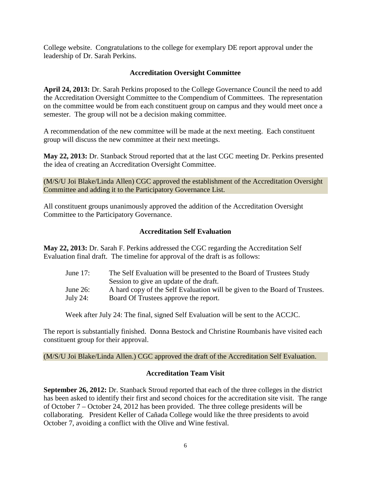College website. Congratulations to the college for exemplary DE report approval under the leadership of Dr. Sarah Perkins.

### **Accreditation Oversight Committee**

**April 24, 2013:** Dr. Sarah Perkins proposed to the College Governance Council the need to add the Accreditation Oversight Committee to the Compendium of Committees. The representation on the committee would be from each constituent group on campus and they would meet once a semester. The group will not be a decision making committee.

A recommendation of the new committee will be made at the next meeting. Each constituent group will discuss the new committee at their next meetings.

**May 22, 2013:** Dr. Stanback Stroud reported that at the last CGC meeting Dr. Perkins presented the idea of creating an Accreditation Oversight Committee.

(M/S/U Joi Blake/Linda Allen) CGC approved the establishment of the Accreditation Oversight Committee and adding it to the Participatory Governance List.

All constituent groups unanimously approved the addition of the Accreditation Oversight Committee to the Participatory Governance.

### **Accreditation Self Evaluation**

**May 22, 2013:** Dr. Sarah F. Perkins addressed the CGC regarding the Accreditation Self Evaluation final draft. The timeline for approval of the draft is as follows:

| June $17$ : | The Self Evaluation will be presented to the Board of Trustees Study       |
|-------------|----------------------------------------------------------------------------|
|             | Session to give an update of the draft.                                    |
| June $26$ : | A hard copy of the Self Evaluation will be given to the Board of Trustees. |
| July 24:    | Board Of Trustees approve the report.                                      |

Week after July 24: The final, signed Self Evaluation will be sent to the ACCJC.

The report is substantially finished. Donna Bestock and Christine Roumbanis have visited each constituent group for their approval.

(M/S/U Joi Blake/Linda Allen.) CGC approved the draft of the Accreditation Self Evaluation.

### **Accreditation Team Visit**

**September 26, 2012:** Dr. Stanback Stroud reported that each of the three colleges in the district has been asked to identify their first and second choices for the accreditation site visit. The range of October 7 – October 24, 2012 has been provided. The three college presidents will be collaborating. President Keller of Cañada College would like the three presidents to avoid October 7, avoiding a conflict with the Olive and Wine festival.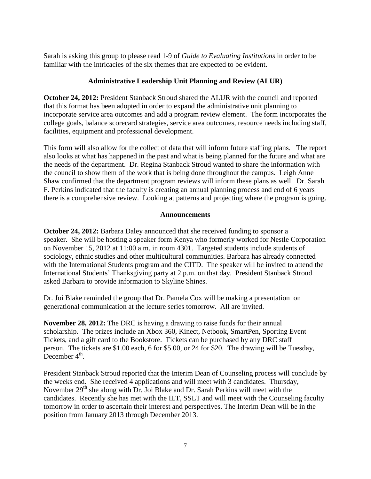Sarah is asking this group to please read 1-9 of *Guide to Evaluating Institutions* in order to be familiar with the intricacies of the six themes that are expected to be evident.

### **Administrative Leadership Unit Planning and Review (ALUR)**

**October 24, 2012:** President Stanback Stroud shared the ALUR with the council and reported that this format has been adopted in order to expand the administrative unit planning to incorporate service area outcomes and add a program review element. The form incorporates the college goals, balance scorecard strategies, service area outcomes, resource needs including staff, facilities, equipment and professional development.

This form will also allow for the collect of data that will inform future staffing plans. The report also looks at what has happened in the past and what is being planned for the future and what are the needs of the department. Dr. Regina Stanback Stroud wanted to share the information with the council to show them of the work that is being done throughout the campus. Leigh Anne Shaw confirmed that the department program reviews will inform these plans as well. Dr. Sarah F. Perkins indicated that the faculty is creating an annual planning process and end of 6 years there is a comprehensive review. Looking at patterns and projecting where the program is going.

### **Announcements**

**October 24, 2012:** Barbara Daley announced that she received funding to sponsor a speaker. She will be hosting a speaker form Kenya who formerly worked for Nestle Corporation on November 15, 2012 at 11:00 a.m. in room 4301. Targeted students include students of sociology, ethnic studies and other multicultural communities. Barbara has already connected with the International Students program and the CITD. The speaker will be invited to attend the International Students' Thanksgiving party at 2 p.m. on that day. President Stanback Stroud asked Barbara to provide information to Skyline Shines.

Dr. Joi Blake reminded the group that Dr. Pamela Cox will be making a presentation on generational communication at the lecture series tomorrow. All are invited.

**November 28, 2012:** The DRC is having a drawing to raise funds for their annual scholarship. The prizes include an Xbox 360, Kinect, Netbook, SmartPen, Sporting Event Tickets, and a gift card to the Bookstore. Tickets can be purchased by any DRC staff person. The tickets are \$1.00 each, 6 for \$5.00, or 24 for \$20. The drawing will be Tuesday, December  $4<sup>th</sup>$ .

President Stanback Stroud reported that the Interim Dean of Counseling process will conclude by the weeks end. She received 4 applications and will meet with 3 candidates. Thursday, November 29<sup>th</sup> she along with Dr. Joi Blake and Dr. Sarah Perkins will meet with the candidates. Recently she has met with the ILT, SSLT and will meet with the Counseling faculty tomorrow in order to ascertain their interest and perspectives. The Interim Dean will be in the position from January 2013 through December 2013.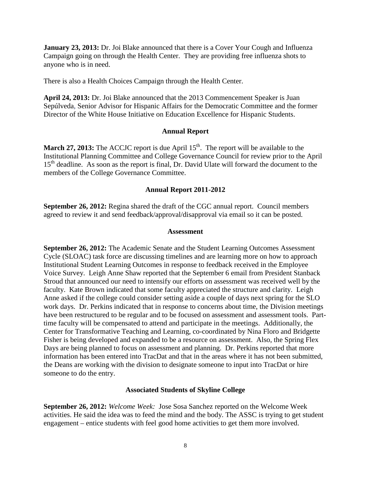**January 23, 2013:** Dr. Joi Blake announced that there is a Cover Your Cough and Influenza Campaign going on through the Health Center. They are providing free influenza shots to anyone who is in need.

There is also a Health Choices Campaign through the Health Center.

**April 24, 2013:** Dr. Joi Blake announced that the 2013 Commencement Speaker is Juan Sepúlveda, Senior Advisor for Hispanic Affairs for the Democratic Committee and the former Director of the White House Initiative on Education Excellence for Hispanic Students.

### **Annual Report**

**March 27, 2013:** The ACCJC report is due April 15<sup>th</sup>. The report will be available to the Institutional Planning Committee and College Governance Council for review prior to the April 15<sup>th</sup> deadline. As soon as the report is final, Dr. David Ulate will forward the document to the members of the College Governance Committee.

### **Annual Report 2011-2012**

**September 26, 2012:** Regina shared the draft of the CGC annual report. Council members agreed to review it and send feedback/approval/disapproval via email so it can be posted.

#### **Assessment**

**September 26, 2012:** The Academic Senate and the Student Learning Outcomes Assessment Cycle (SLOAC) task force are discussing timelines and are learning more on how to approach Institutional Student Learning Outcomes in response to feedback received in the Employee Voice Survey. Leigh Anne Shaw reported that the September 6 email from President Stanback Stroud that announced our need to intensify our efforts on assessment was received well by the faculty. Kate Brown indicated that some faculty appreciated the structure and clarity. Leigh Anne asked if the college could consider setting aside a couple of days next spring for the SLO work days. Dr. Perkins indicated that in response to concerns about time, the Division meetings have been restructured to be regular and to be focused on assessment and assessment tools. Parttime faculty will be compensated to attend and participate in the meetings. Additionally, the Center for Transformative Teaching and Learning, co-coordinated by Nina Floro and Bridgette Fisher is being developed and expanded to be a resource on assessment. Also, the Spring Flex Days are being planned to focus on assessment and planning. Dr. Perkins reported that more information has been entered into TracDat and that in the areas where it has not been submitted, the Deans are working with the division to designate someone to input into TracDat or hire someone to do the entry.

#### **Associated Students of Skyline College**

**September 26, 2012:** *Welcome Week:* Jose Sosa Sanchez reported on the Welcome Week activities. He said the idea was to feed the mind and the body. The ASSC is trying to get student engagement – entice students with feel good home activities to get them more involved.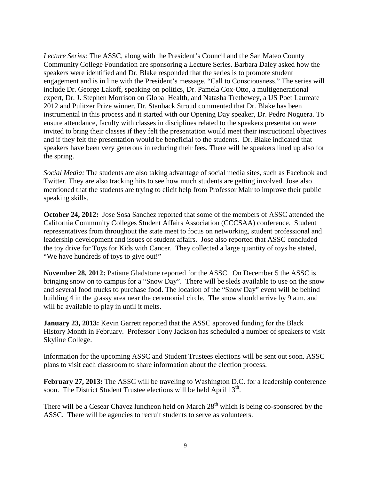*Lecture Series:* The ASSC, along with the President's Council and the San Mateo County Community College Foundation are sponsoring a Lecture Series. Barbara Daley asked how the speakers were identified and Dr. Blake responded that the series is to promote student engagement and is in line with the President's message, "Call to Consciousness." The series will include Dr. George Lakoff, speaking on politics, Dr. Pamela Cox-Otto, a multigenerational expert, Dr. J. Stephen Morrison on Global Health, and Natasha Trethewey, a US Poet Laureate 2012 and Pulitzer Prize winner. Dr. Stanback Stroud commented that Dr. Blake has been instrumental in this process and it started with our Opening Day speaker, Dr. Pedro Noguera. To ensure attendance, faculty with classes in disciplines related to the speakers presentation were invited to bring their classes if they felt the presentation would meet their instructional objectives and if they felt the presentation would be beneficial to the students. Dr. Blake indicated that speakers have been very generous in reducing their fees. There will be speakers lined up also for the spring.

*Social Media:* The students are also taking advantage of social media sites, such as Facebook and Twitter. They are also tracking hits to see how much students are getting involved. Jose also mentioned that the students are trying to elicit help from Professor Mair to improve their public speaking skills.

**October 24, 2012:** Jose Sosa Sanchez reported that some of the members of ASSC attended the California Community Colleges Student Affairs Association (CCCSAA) conference. Student representatives from throughout the state meet to focus on networking, student professional and leadership development and issues of student affairs. Jose also reported that ASSC concluded the toy drive for Toys for Kids with Cancer. They collected a large quantity of toys he stated, "We have hundreds of toys to give out!"

**November 28, 2012:** Patiane Gladstone reported for the ASSC. On December 5 the ASSC is bringing snow on to campus for a "Snow Day". There will be sleds available to use on the snow and several food trucks to purchase food. The location of the "Snow Day" event will be behind building 4 in the grassy area near the ceremonial circle. The snow should arrive by 9 a.m. and will be available to play in until it melts.

**January 23, 2013:** Kevin Garrett reported that the ASSC approved funding for the Black History Month in February. Professor Tony Jackson has scheduled a number of speakers to visit Skyline College.

Information for the upcoming ASSC and Student Trustees elections will be sent out soon. ASSC plans to visit each classroom to share information about the election process.

**February 27, 2013:** The ASSC will be traveling to Washington D.C. for a leadership conference soon. The District Student Trustee elections will be held April 13<sup>th</sup>.

There will be a Cesear Chavez luncheon held on March  $28<sup>th</sup>$  which is being co-sponsored by the ASSC. There will be agencies to recruit students to serve as volunteers.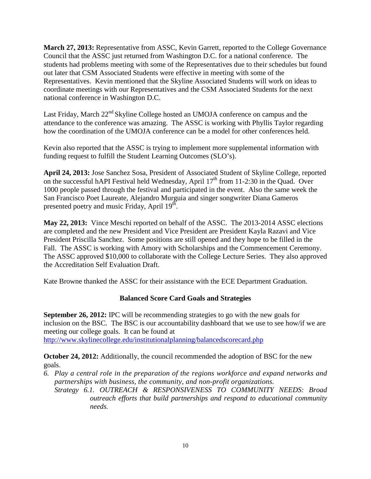**March 27, 2013:** Representative from ASSC, Kevin Garrett, reported to the College Governance Council that the ASSC just returned from Washington D.C. for a national conference. The students had problems meeting with some of the Representatives due to their schedules but found out later that CSM Associated Students were effective in meeting with some of the Representatives. Kevin mentioned that the Skyline Associated Students will work on ideas to coordinate meetings with our Representatives and the CSM Associated Students for the next national conference in Washington D.C.

Last Friday, March  $22<sup>nd</sup>$  Skyline College hosted an UMOJA conference on campus and the attendance to the conference was amazing. The ASSC is working with Phyllis Taylor regarding how the coordination of the UMOJA conference can be a model for other conferences held.

Kevin also reported that the ASSC is trying to implement more supplemental information with funding request to fulfill the Student Learning Outcomes (SLO's).

**April 24, 2013:** Jose Sanchez Sosa, President of Associated Student of Skyline College, reported on the successful hAPI Festival held Wednesday, April  $17<sup>th</sup>$  from 11-2:30 in the Quad. Over 1000 people passed through the festival and participated in the event. Also the same week the San Francisco Poet Laureate, Alejandro Murguia and singer songwriter Diana Gameros presented poetry and music Friday, April 19<sup>th</sup>.

**May 22, 2013:** Vince Meschi reported on behalf of the ASSC. The 2013-2014 ASSC elections are completed and the new President and Vice President are President Kayla Razavi and Vice President Priscilla Sanchez. Some positions are still opened and they hope to be filled in the Fall. The ASSC is working with Amory with Scholarships and the Commencement Ceremony. The ASSC approved \$10,000 to collaborate with the College Lecture Series. They also approved the Accreditation Self Evaluation Draft.

Kate Browne thanked the ASSC for their assistance with the ECE Department Graduation.

# **Balanced Score Card Goals and Strategies**

**September 26, 2012:** IPC will be recommending strategies to go with the new goals for inclusion on the BSC. The BSC is our accountability dashboard that we use to see how/if we are meeting our college goals. It can be found at <http://www.skylinecollege.edu/institutionalplanning/balancedscorecard.php>

**October 24, 2012:** Additionally, the council recommended the adoption of BSC for the new goals.

- *6. Play a central role in the preparation of the regions workforce and expand networks and partnerships with business, the community, and non-profit organizations.*
	- *Strategy 6.1. OUTREACH & RESPONSIVENESS TO COMMUNITY NEEDS: Broad outreach efforts that build partnerships and respond to educational community needs.*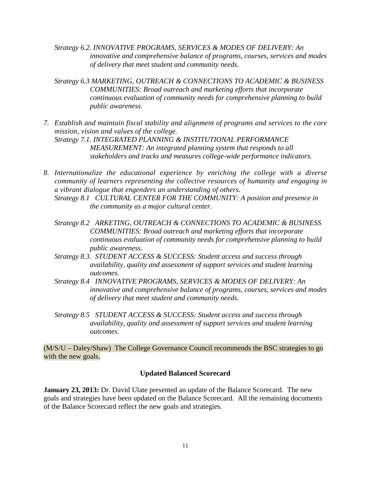- *Strategy 6.2. INNOVATIVE PROGRAMS, SERVICES & MODES OF DELIVERY: An innovative and comprehensive balance of programs, courses, services and modes of delivery that meet student and community needs.*
- *Strategy 6.3 MARKETING, OUTREACH & CONNECTIONS TO ACADEMIC & BUSINESS COMMUNITIES: Broad outreach and marketing efforts that incorporate continuous evaluation of community needs for comprehensive planning to build public awareness.*
- *7. Establish and maintain fiscal stability and alignment of programs and services to the core mission, vision and values of the college. Strategy 7.1. INTEGRATED PLANNING & INSTITUTIONAL PERFORMANCE MEASUREMENT: An integrated planning system that responds to all stakeholders and tracks and measures college-wide performance indicators.*
- *8. Internationalize the educational experience by enriching the college with a diverse community of learners representing the collective resources of humanity and engaging in a vibrant dialogue that engenders an understanding of others.*
	- *Strategy 8.1 CULTURAL CENTER FOR THE COMMUNITY: A position and presence in the community as a major cultural center.*
	- *Strategy 8.2 ARKETING, OUTREACH & CONNECTIONS TO ACADEMIC & BUSINESS COMMUNITIES: Broad outreach and marketing efforts that incorporate continuous evaluation of community needs for comprehensive planning to build public awareness.*
	- *Strategy 8.3. STUDENT ACCESS & SUCCESS: Student access and success through availability, quality and assessment of support services and student learning outcomes.*
	- *Strategy 8.4 INNOVATIVE PROGRAMS, SERVICES & MODES OF DELIVERY: An innovative and comprehensive balance of programs, courses, services and modes of delivery that meet student and community needs.*
	- *Strategy 8.5 STUDENT ACCESS & SUCCESS: Student access and success through availability, quality and assessment of support services and student learning outcomes.*

(M/S/U – Daley/Shaw) The College Governance Council recommends the BSC strategies to go with the new goals.

### **Updated Balanced Scorecard**

**January 23, 2013:** Dr. David Ulate presented an update of the Balance Scorecard. The new goals and strategies have been updated on the Balance Scorecard. All the remaining documents of the Balance Scorecard reflect the new goals and strategies.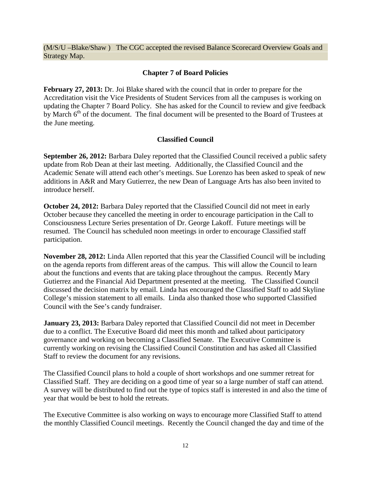(M/S/U –Blake/Shaw ) The CGC accepted the revised Balance Scorecard Overview Goals and Strategy Map.

## **Chapter 7 of Board Policies**

**February 27, 2013:** Dr. Joi Blake shared with the council that in order to prepare for the Accreditation visit the Vice Presidents of Student Services from all the campuses is working on updating the Chapter 7 Board Policy. She has asked for the Council to review and give feedback by March 6<sup>th</sup> of the document. The final document will be presented to the Board of Trustees at the June meeting.

## **Classified Council**

**September 26, 2012:** Barbara Daley reported that the Classified Council received a public safety update from Rob Dean at their last meeting. Additionally, the Classified Council and the Academic Senate will attend each other's meetings. Sue Lorenzo has been asked to speak of new additions in A&R and Mary Gutierrez, the new Dean of Language Arts has also been invited to introduce herself.

**October 24, 2012:** Barbara Daley reported that the Classified Council did not meet in early October because they cancelled the meeting in order to encourage participation in the Call to Consciousness Lecture Series presentation of Dr. George Lakoff. Future meetings will be resumed. The Council has scheduled noon meetings in order to encourage Classified staff participation.

**November 28, 2012:** Linda Allen reported that this year the Classified Council will be including on the agenda reports from different areas of the campus. This will allow the Council to learn about the functions and events that are taking place throughout the campus. Recently Mary Gutierrez and the Financial Aid Department presented at the meeting. The Classified Council discussed the decision matrix by email. Linda has encouraged the Classified Staff to add Skyline College's mission statement to all emails. Linda also thanked those who supported Classified Council with the See's candy fundraiser.

**January 23, 2013:** Barbara Daley reported that Classified Council did not meet in December due to a conflict. The Executive Board did meet this month and talked about participatory governance and working on becoming a Classified Senate. The Executive Committee is currently working on revising the Classified Council Constitution and has asked all Classified Staff to review the document for any revisions.

The Classified Council plans to hold a couple of short workshops and one summer retreat for Classified Staff. They are deciding on a good time of year so a large number of staff can attend. A survey will be distributed to find out the type of topics staff is interested in and also the time of year that would be best to hold the retreats.

The Executive Committee is also working on ways to encourage more Classified Staff to attend the monthly Classified Council meetings. Recently the Council changed the day and time of the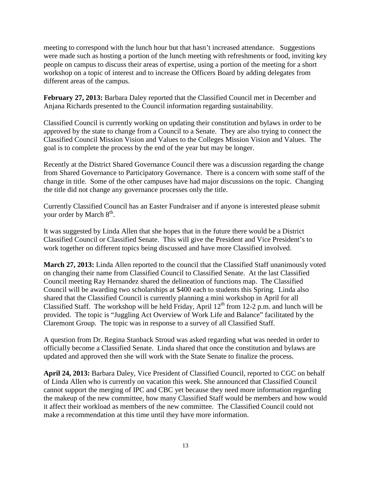meeting to correspond with the lunch hour but that hasn't increased attendance. Suggestions were made such as hosting a portion of the lunch meeting with refreshments or food, inviting key people on campus to discuss their areas of expertise, using a portion of the meeting for a short workshop on a topic of interest and to increase the Officers Board by adding delegates from different areas of the campus.

**February 27, 2013:** Barbara Daley reported that the Classified Council met in December and Anjana Richards presented to the Council information regarding sustainability.

Classified Council is currently working on updating their constitution and bylaws in order to be approved by the state to change from a Council to a Senate. They are also trying to connect the Classified Council Mission Vision and Values to the Colleges Mission Vision and Values. The goal is to complete the process by the end of the year but may be longer.

Recently at the District Shared Governance Council there was a discussion regarding the change from Shared Governance to Participatory Governance. There is a concern with some staff of the change in title. Some of the other campuses have had major discussions on the topic. Changing the title did not change any governance processes only the title.

Currently Classified Council has an Easter Fundraiser and if anyone is interested please submit your order by March  $8<sup>th</sup>$ .

It was suggested by Linda Allen that she hopes that in the future there would be a District Classified Council or Classified Senate. This will give the President and Vice President's to work together on different topics being discussed and have more Classified involved.

**March 27, 2013:** Linda Allen reported to the council that the Classified Staff unanimously voted on changing their name from Classified Council to Classified Senate. At the last Classified Council meeting Ray Hernandez shared the delineation of functions map. The Classified Council will be awarding two scholarships at \$400 each to students this Spring. Linda also shared that the Classified Council is currently planning a mini workshop in April for all Classified Staff. The workshop will be held Friday, April  $12<sup>th</sup>$  from 12-2 p.m. and lunch will be provided. The topic is "Juggling Act Overview of Work Life and Balance" facilitated by the Claremont Group. The topic was in response to a survey of all Classified Staff.

A question from Dr. Regina Stanback Stroud was asked regarding what was needed in order to officially become a Classified Senate. Linda shared that once the constitution and bylaws are updated and approved then she will work with the State Senate to finalize the process.

**April 24, 2013:** Barbara Daley, Vice President of Classified Council, reported to CGC on behalf of Linda Allen who is currently on vacation this week. She announced that Classified Council cannot support the merging of IPC and CBC yet because they need more information regarding the makeup of the new committee, how many Classified Staff would be members and how would it affect their workload as members of the new committee. The Classified Council could not make a recommendation at this time until they have more information.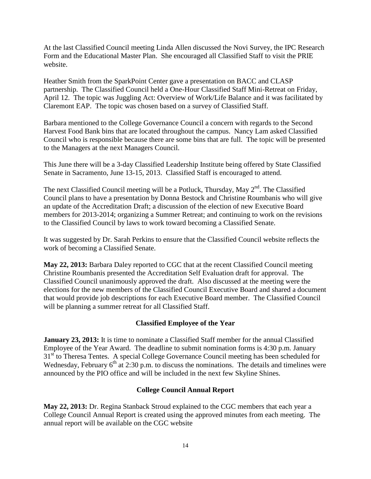At the last Classified Council meeting Linda Allen discussed the Novi Survey, the IPC Research Form and the Educational Master Plan. She encouraged all Classified Staff to visit the PRIE website.

Heather Smith from the SparkPoint Center gave a presentation on BACC and CLASP partnership. The Classified Council held a One-Hour Classified Staff Mini-Retreat on Friday, April 12. The topic was Juggling Act: Overview of Work/Life Balance and it was facilitated by Claremont EAP. The topic was chosen based on a survey of Classified Staff.

Barbara mentioned to the College Governance Council a concern with regards to the Second Harvest Food Bank bins that are located throughout the campus. Nancy Lam asked Classified Council who is responsible because there are some bins that are full. The topic will be presented to the Managers at the next Managers Council.

This June there will be a 3-day Classified Leadership Institute being offered by State Classified Senate in Sacramento, June 13-15, 2013. Classified Staff is encouraged to attend.

The next Classified Council meeting will be a Potluck, Thursday, May 2<sup>nd</sup>. The Classified Council plans to have a presentation by Donna Bestock and Christine Roumbanis who will give an update of the Accreditation Draft; a discussion of the election of new Executive Board members for 2013-2014; organizing a Summer Retreat; and continuing to work on the revisions to the Classified Council by laws to work toward becoming a Classified Senate.

It was suggested by Dr. Sarah Perkins to ensure that the Classified Council website reflects the work of becoming a Classified Senate.

**May 22, 2013:** Barbara Daley reported to CGC that at the recent Classified Council meeting Christine Roumbanis presented the Accreditation Self Evaluation draft for approval. The Classified Council unanimously approved the draft. Also discussed at the meeting were the elections for the new members of the Classified Council Executive Board and shared a document that would provide job descriptions for each Executive Board member. The Classified Council will be planning a summer retreat for all Classified Staff.

### **Classified Employee of the Year**

**January 23, 2013:** It is time to nominate a Classified Staff member for the annual Classified Employee of the Year Award. The deadline to submit nomination forms is 4:30 p.m. January 31<sup>st</sup> to Theresa Tentes. A special College Governance Council meeting has been scheduled for Wednesday, February  $6<sup>th</sup>$  at 2:30 p.m. to discuss the nominations. The details and timelines were announced by the PIO office and will be included in the next few Skyline Shines.

### **College Council Annual Report**

**May 22, 2013:** Dr. Regina Stanback Stroud explained to the CGC members that each year a College Council Annual Report is created using the approved minutes from each meeting. The annual report will be available on the CGC website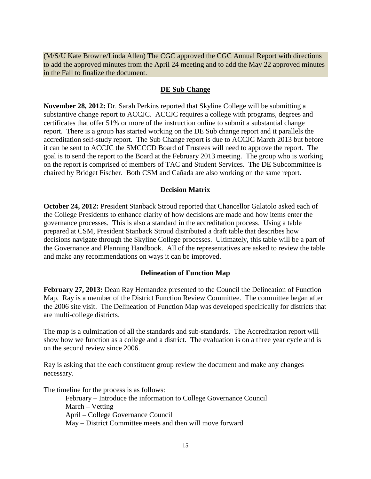(M/S/U Kate Browne/Linda Allen) The CGC approved the CGC Annual Report with directions to add the approved minutes from the April 24 meeting and to add the May 22 approved minutes in the Fall to finalize the document.

#### **DE Sub Change**

**November 28, 2012:** Dr. Sarah Perkins reported that Skyline College will be submitting a substantive change report to ACCJC. ACCJC requires a college with programs, degrees and certificates that offer 51% or more of the instruction online to submit a substantial change report. There is a group has started working on the DE Sub change report and it parallels the accreditation self-study report. The Sub Change report is due to ACCJC March 2013 but before it can be sent to ACCJC the SMCCCD Board of Trustees will need to approve the report. The goal is to send the report to the Board at the February 2013 meeting. The group who is working on the report is comprised of members of TAC and Student Services. The DE Subcommittee is chaired by Bridget Fischer. Both CSM and Cañada are also working on the same report.

#### **Decision Matrix**

**October 24, 2012:** President Stanback Stroud reported that Chancellor Galatolo asked each of the College Presidents to enhance clarity of how decisions are made and how items enter the governance processes. This is also a standard in the accreditation process. Using a table prepared at CSM, President Stanback Stroud distributed a draft table that describes how decisions navigate through the Skyline College processes. Ultimately, this table will be a part of the Governance and Planning Handbook. All of the representatives are asked to review the table and make any recommendations on ways it can be improved.

#### **Delineation of Function Map**

**February 27, 2013:** Dean Ray Hernandez presented to the Council the Delineation of Function Map. Ray is a member of the District Function Review Committee. The committee began after the 2006 site visit. The Delineation of Function Map was developed specifically for districts that are multi-college districts.

The map is a culmination of all the standards and sub-standards. The Accreditation report will show how we function as a college and a district. The evaluation is on a three year cycle and is on the second review since 2006.

Ray is asking that the each constituent group review the document and make any changes necessary.

The timeline for the process is as follows:

February – Introduce the information to College Governance Council March – Vetting April – College Governance Council May – District Committee meets and then will move forward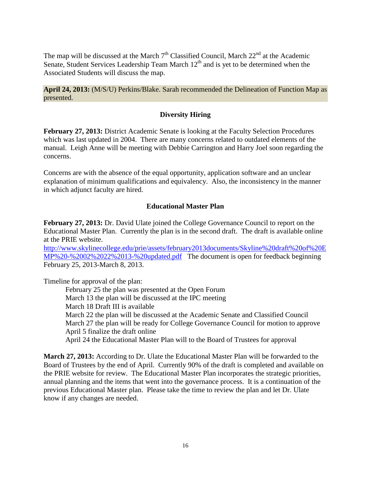The map will be discussed at the March  $7<sup>th</sup>$  Classified Council, March  $22<sup>nd</sup>$  at the Academic Senate, Student Services Leadership Team March  $12<sup>th</sup>$  and is yet to be determined when the Associated Students will discuss the map.

**April 24, 2013:** (M/S/U) Perkins/Blake. Sarah recommended the Delineation of Function Map as presented.

## **Diversity Hiring**

**February 27, 2013:** District Academic Senate is looking at the Faculty Selection Procedures which was last updated in 2004. There are many concerns related to outdated elements of the manual. Leigh Anne will be meeting with Debbie Carrington and Harry Joel soon regarding the concerns.

Concerns are with the absence of the equal opportunity, application software and an unclear explanation of minimum qualifications and equivalency. Also, the inconsistency in the manner in which adjunct faculty are hired.

## **Educational Master Plan**

**February 27, 2013:** Dr. David Ulate joined the College Governance Council to report on the Educational Master Plan. Currently the plan is in the second draft. The draft is available online at the PRIE website.

[http://www.skylinecollege.edu/prie/assets/february2013documents/Skyline%20draft%20of%20E](http://www.skylinecollege.edu/prie/assets/february2013documents/Skyline%20draft%20of%20EMP%20-%2002%2022%2013-%20updated.pdf) [MP%20-%2002%2022%2013-%20updated.pdf](http://www.skylinecollege.edu/prie/assets/february2013documents/Skyline%20draft%20of%20EMP%20-%2002%2022%2013-%20updated.pdf) The document is open for feedback beginning February 25, 2013-March 8, 2013.

Timeline for approval of the plan:

February 25 the plan was presented at the Open Forum March 13 the plan will be discussed at the IPC meeting March 18 Draft III is available March 22 the plan will be discussed at the Academic Senate and Classified Council March 27 the plan will be ready for College Governance Council for motion to approve April 5 finalize the draft online April 24 the Educational Master Plan will to the Board of Trustees for approval

**March 27, 2013:** According to Dr. Ulate the Educational Master Plan will be forwarded to the Board of Trustees by the end of April. Currently 90% of the draft is completed and available on the PRIE website for review. The Educational Master Plan incorporates the strategic priorities, annual planning and the items that went into the governance process. It is a continuation of the previous Educational Master plan. Please take the time to review the plan and let Dr. Ulate know if any changes are needed.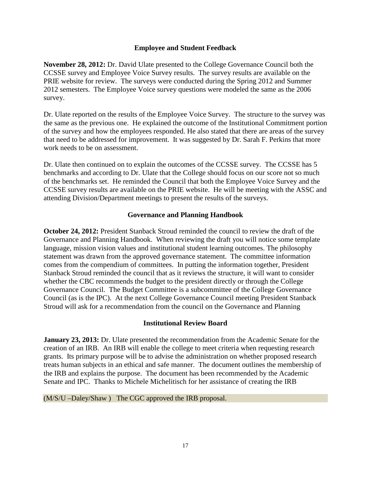### **Employee and Student Feedback**

**November 28, 2012:** Dr. David Ulate presented to the College Governance Council both the CCSSE survey and Employee Voice Survey results. The survey results are available on the PRIE website for review. The surveys were conducted during the Spring 2012 and Summer 2012 semesters. The Employee Voice survey questions were modeled the same as the 2006 survey.

Dr. Ulate reported on the results of the Employee Voice Survey. The structure to the survey was the same as the previous one. He explained the outcome of the Institutional Commitment portion of the survey and how the employees responded. He also stated that there are areas of the survey that need to be addressed for improvement. It was suggested by Dr. Sarah F. Perkins that more work needs to be on assessment.

Dr. Ulate then continued on to explain the outcomes of the CCSSE survey. The CCSSE has 5 benchmarks and according to Dr. Ulate that the College should focus on our score not so much of the benchmarks set. He reminded the Council that both the Employee Voice Survey and the CCSSE survey results are available on the PRIE website. He will be meeting with the ASSC and attending Division/Department meetings to present the results of the surveys.

### **Governance and Planning Handbook**

**October 24, 2012:** President Stanback Stroud reminded the council to review the draft of the Governance and Planning Handbook. When reviewing the draft you will notice some template language, mission vision values and institutional student learning outcomes. The philosophy statement was drawn from the approved governance statement. The committee information comes from the compendium of committees. In putting the information together, President Stanback Stroud reminded the council that as it reviews the structure, it will want to consider whether the CBC recommends the budget to the president directly or through the College Governance Council. The Budget Committee is a subcommittee of the College Governance Council (as is the IPC). At the next College Governance Council meeting President Stanback Stroud will ask for a recommendation from the council on the Governance and Planning

### **Institutional Review Board**

**January 23, 2013:** Dr. Ulate presented the recommendation from the Academic Senate for the creation of an IRB. An IRB will enable the college to meet criteria when requesting research grants. Its primary purpose will be to advise the administration on whether proposed research treats human subjects in an ethical and safe manner. The document outlines the membership of the IRB and explains the purpose. The document has been recommended by the Academic Senate and IPC. Thanks to Michele Michelitisch for her assistance of creating the IRB

### (M/S/U –Daley/Shaw ) The CGC approved the IRB proposal.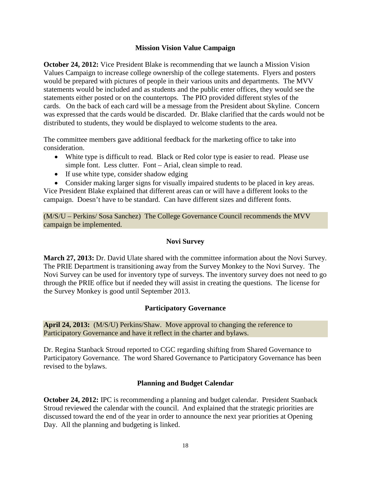### **Mission Vision Value Campaign**

**October 24, 2012:** Vice President Blake is recommending that we launch a Mission Vision Values Campaign to increase college ownership of the college statements. Flyers and posters would be prepared with pictures of people in their various units and departments. The MVV statements would be included and as students and the public enter offices, they would see the statements either posted or on the countertops. The PIO provided different styles of the cards. On the back of each card will be a message from the President about Skyline. Concern was expressed that the cards would be discarded. Dr. Blake clarified that the cards would not be distributed to students, they would be displayed to welcome students to the area.

The committee members gave additional feedback for the marketing office to take into consideration.

- White type is difficult to read. Black or Red color type is easier to read. Please use simple font. Less clutter. Font – Arial, clean simple to read.
- If use white type, consider shadow edging
- Consider making larger signs for visually impaired students to be placed in key areas.

Vice President Blake explained that different areas can or will have a different looks to the campaign. Doesn't have to be standard. Can have different sizes and different fonts.

(M/S/U – Perkins/ Sosa Sanchez) The College Governance Council recommends the MVV campaign be implemented.

## **Novi Survey**

**March 27, 2013:** Dr. David Ulate shared with the committee information about the Novi Survey. The PRIE Department is transitioning away from the Survey Monkey to the Novi Survey. The Novi Survey can be used for inventory type of surveys. The inventory survey does not need to go through the PRIE office but if needed they will assist in creating the questions. The license for the Survey Monkey is good until September 2013.

## **Participatory Governance**

**April 24, 2013:** (M/S/U) Perkins/Shaw. Move approval to changing the reference to Participatory Governance and have it reflect in the charter and bylaws.

Dr. Regina Stanback Stroud reported to CGC regarding shifting from Shared Governance to Participatory Governance. The word Shared Governance to Participatory Governance has been revised to the bylaws.

## **Planning and Budget Calendar**

**October 24, 2012: IPC** is recommending a planning and budget calendar. President Stanback Stroud reviewed the calendar with the council. And explained that the strategic priorities are discussed toward the end of the year in order to announce the next year priorities at Opening Day. All the planning and budgeting is linked.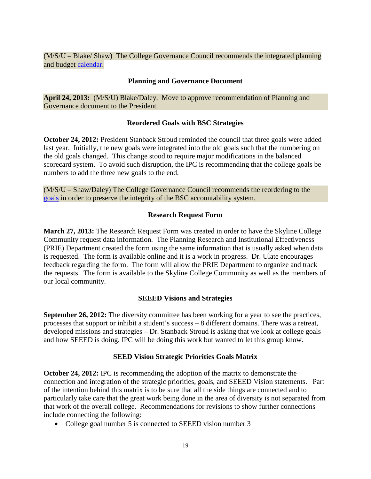(M/S/U – Blake/ Shaw) The College Governance Council recommends the integrated planning and budget [calendar.](http://skylinecollege.edu/institutionalplanning/assets/ipc/pbcalendar1213.pdf)

#### **Planning and Governance Document**

**April 24, 2013:** (M/S/U) Blake/Daley. Move to approve recommendation of Planning and Governance document to the President.

### **Reordered Goals with BSC Strategies**

**October 24, 2012:** President Stanback Stroud reminded the council that three goals were added last year. Initially, the new goals were integrated into the old goals such that the numbering on the old goals changed. This change stood to require major modifications in the balanced scorecard system. To avoid such disruption, the IPC is recommending that the college goals be numbers to add the three new goals to the end.

(M/S/U – Shaw/Daley) The College Governance Council recommends the reordering to the [goals](http://www.skylinecollege.edu/institutionalplanning/assets/ipc/MVVGoals.pdf) in order to preserve the integrity of the BSC accountability system.

### **Research Request Form**

**March 27, 2013:** The Research Request Form was created in order to have the Skyline College Community request data information. The Planning Research and Institutional Effectiveness (PRIE) Department created the form using the same information that is usually asked when data is requested. The form is available online and it is a work in progress. Dr. Ulate encourages feedback regarding the form. The form will allow the PRIE Department to organize and track the requests. The form is available to the Skyline College Community as well as the members of our local community.

### **SEEED Visions and Strategies**

**September 26, 2012:** The diversity committee has been working for a year to see the practices, processes that support or inhibit a student's success – 8 different domains. There was a retreat, developed missions and strategies – Dr. Stanback Stroud is asking that we look at college goals and how SEEED is doing. IPC will be doing this work but wanted to let this group know.

#### **SEED Vision Strategic Priorities Goals Matrix**

**October 24, 2012:** IPC is recommending the adoption of the matrix to demonstrate the connection and integration of the strategic priorities, goals, and SEEED Vision statements. Part of the intention behind this matrix is to be sure that all the side things are connected and to particularly take care that the great work being done in the area of diversity is not separated from that work of the overall college. Recommendations for revisions to show further connections include connecting the following:

• College goal number 5 is connected to SEEED vision number 3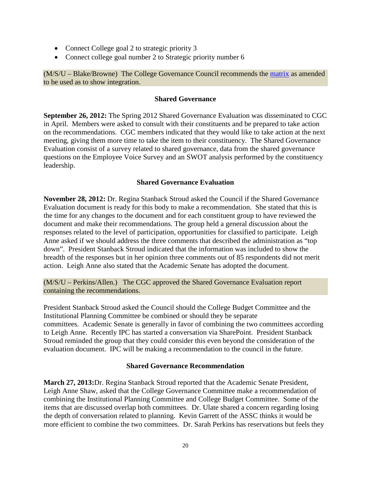- Connect College goal 2 to strategic priority 3
- Connect college goal number 2 to Strategic priority number 6

(M/S/U – Blake/Browne) The College Governance Council recommends the [matrix](http://www.skylinecollege.edu/institutionalplanning/assets/ipc/seeedvisionGoalsSPMatrix.pdf) as amended to be used as to show integration.

#### **Shared Governance**

**September 26, 2012:** The Spring 2012 Shared Governance Evaluation was disseminated to CGC in April. Members were asked to consult with their constituents and be prepared to take action on the recommendations. CGC members indicated that they would like to take action at the next meeting, giving them more time to take the item to their constituency. The Shared Governance Evaluation consist of a survey related to shared governance, data from the shared governance questions on the Employee Voice Survey and an SWOT analysis performed by the constituency leadership.

### **Shared Governance Evaluation**

**November 28, 2012:** Dr. Regina Stanback Stroud asked the Council if the Shared Governance Evaluation document is ready for this body to make a recommendation. She stated that this is the time for any changes to the document and for each constituent group to have reviewed the document and make their recommendations. The group held a general discussion about the responses related to the level of participation, opportunities for classified to participate. Leigh Anne asked if we should address the three comments that described the administration as "top down". President Stanback Stroud indicated that the information was included to show the breadth of the responses but in her opinion three comments out of 85 respondents did not merit action. Leigh Anne also stated that the Academic Senate has adopted the document.

(M/S/U – Perkins/Allen.) The CGC approved the Shared Governance Evaluation report containing the recommendations.

President Stanback Stroud asked the Council should the College Budget Committee and the Institutional Planning Committee be combined or should they be separate committees. Academic Senate is generally in favor of combining the two committees according to Leigh Anne. Recently IPC has started a conversation via SharePoint. President Stanback Stroud reminded the group that they could consider this even beyond the consideration of the evaluation document. IPC will be making a recommendation to the council in the future.

### **Shared Governance Recommendation**

**March 27, 2013:**Dr. Regina Stanback Stroud reported that the Academic Senate President, Leigh Anne Shaw, asked that the College Governance Committee make a recommendation of combining the Institutional Planning Committee and College Budget Committee. Some of the items that are discussed overlap both committees. Dr. Ulate shared a concern regarding losing the depth of conversation related to planning. Kevin Garrett of the ASSC thinks it would be more efficient to combine the two committees. Dr. Sarah Perkins has reservations but feels they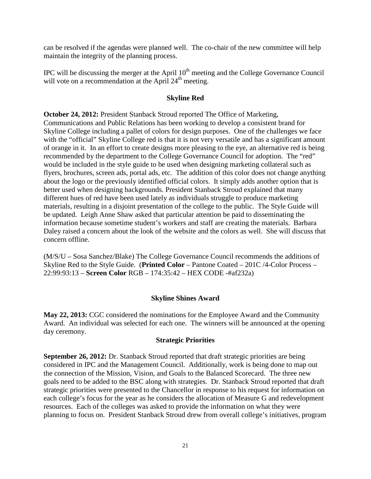can be resolved if the agendas were planned well. The co-chair of the new committee will help maintain the integrity of the planning process.

IPC will be discussing the merger at the April  $10<sup>th</sup>$  meeting and the College Governance Council will vote on a recommendation at the April  $24<sup>th</sup>$  meeting.

#### **Skyline Red**

**October 24, 2012:** President Stanback Stroud reported The Office of Marketing, Communications and Public Relations has been working to develop a consistent brand for Skyline College including a pallet of colors for design purposes. One of the challenges we face with the "official" Skyline College red is that it is not very versatile and has a significant amount of orange in it. In an effort to create designs more pleasing to the eye, an alternative red is being recommended by the department to the College Governance Council for adoption. The "red" would be included in the style guide to be used when designing marketing collateral such as flyers, brochures, screen ads, portal ads, etc. The addition of this color does not change anything about the logo or the previously identified official colors. It simply adds another option that is better used when designing backgrounds. President Stanback Stroud explained that many different hues of red have been used lately as individuals struggle to produce marketing materials, resulting in a disjoint presentation of the college to the public. The Style Guide will be updated. Leigh Anne Shaw asked that particular attention be paid to disseminating the information because sometime student's workers and staff are creating the materials. Barbara Daley raised a concern about the look of the website and the colors as well. She will discuss that concern offline.

(M/S/U – Sosa Sanchez/Blake) The College Governance Council recommends the additions of Skyline Red to the Style Guide. (**Printed Color** – Pantone Coated – 201C /4-Color Process – 22:99:93:13 – **Screen Color** RGB – 174:35:42 – HEX CODE -#af232a)

#### **Skyline Shines Award**

**May 22, 2013:** CGC considered the nominations for the Employee Award and the Community Award. An individual was selected for each one. The winners will be announced at the opening day ceremony.

#### **Strategic Priorities**

**September 26, 2012:** Dr. Stanback Stroud reported that draft strategic priorities are being considered in IPC and the Management Council. Additionally, work is being done to map out the connection of the Mission, Vision, and Goals to the Balanced Scorecard. The three new goals need to be added to the BSC along with strategies. Dr. Stanback Stroud reported that draft strategic priorities were presented to the Chancellor in response to his request for information on each college's focus for the year as he considers the allocation of Measure G and redevelopment resources. Each of the colleges was asked to provide the information on what they were planning to focus on. President Stanback Stroud drew from overall college's initiatives, program